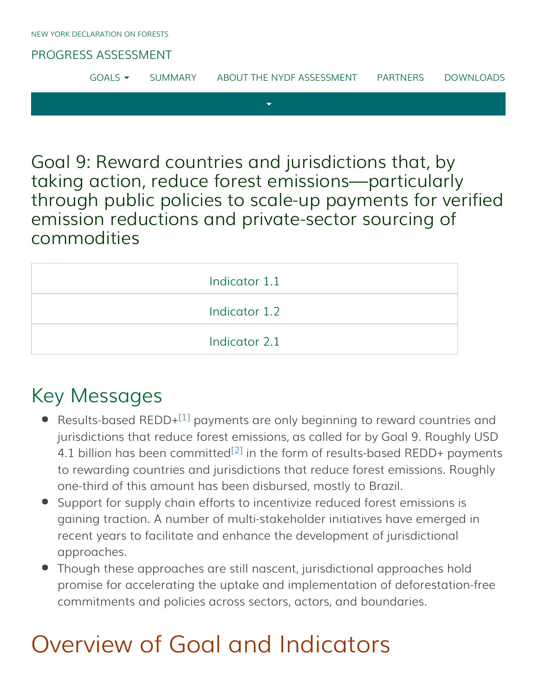#### [PROGRESS ASSESSMENT](http://www.forestdeclaration.org/)

|  |  | $GOAIS =$ | <b>SUMMARY</b> | ABOUT THE NYDF ASSESSMENT | <b>PARTNERS</b> | <b>DOWNLOADS</b> |
|--|--|-----------|----------------|---------------------------|-----------------|------------------|
|--|--|-----------|----------------|---------------------------|-----------------|------------------|

Goal 9: Reward countries and jurisdictions that, by taking action, reduce forest emissions—particularly through public policies to scale-up payments for verified emission reductions and private-sector sourcing of commodities

| Indicator 1.1 |
|---------------|
| Indicator 1.2 |
| Indicator 2.1 |

## <span id="page-0-0"></span>Key Messages

- <span id="page-0-1"></span>Results-based REDD+<sup>[\[1\]](#page-5-0)</sup> payments are only beginning to reward countries and jurisdictions that reduce forest emissions, as called for by Goal 9. Roughly USD 4.1 billion has been committed<sup>[\[2\]](#page-5-1)</sup> in the form of results-based REDD+ payments to rewarding countries and jurisdictions that reduce forest emissions. Roughly one-third of this amount has been disbursed, mostly to Brazil.
- Support for supply chain efforts to incentivize reduced forest emissions is gaining traction. A number of multi-stakeholder initiatives have emerged in recent years to facilitate and enhance the development of jurisdictional approaches.
- Though these approaches are still nascent, jurisdictional approaches hold promise for accelerating the uptake and implementation of deforestation-free commitments and policies across sectors, actors, and boundaries.

# Overview of Goal and Indicators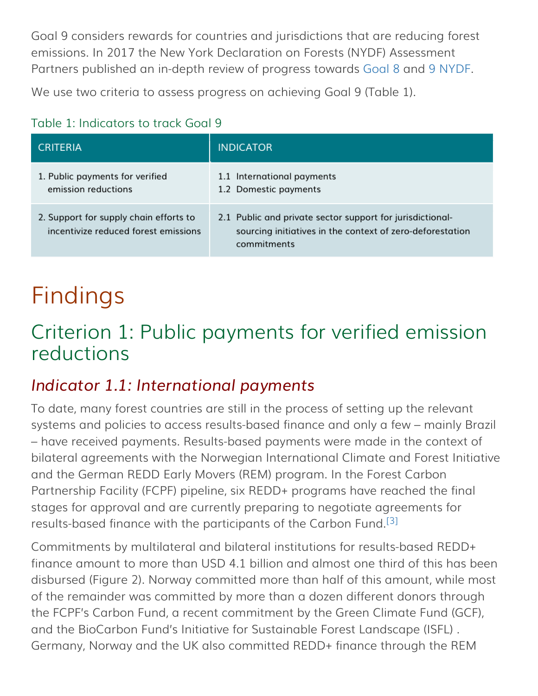Goal 9 considers rewards for countries and jurisdictions that are reducing forest emissions. In 2017 the New York Declaration on Forests (NYDF) Assessment Partners published an in-depth review of progress towards [Goal 8](http://forestdeclaration.org/goal/goal-8/) and [9 NYDF](http://forestdeclaration.org/goal/goal-9/).

We use two criteria to assess progress on achieving Goal 9 (Table 1).

### Table 1: Indicators to track Goal 9

| <b>CRITERIA</b>                                                                | <b>INDICATOR</b>                                                                                                                      |
|--------------------------------------------------------------------------------|---------------------------------------------------------------------------------------------------------------------------------------|
| 1. Public payments for verified<br>emission reductions                         | 1.1 International payments<br>1.2 Domestic payments                                                                                   |
| 2. Support for supply chain efforts to<br>incentivize reduced forest emissions | 2.1 Public and private sector support for jurisdictional-<br>sourcing initiatives in the context of zero-deforestation<br>commitments |

# Findings

# Criterion 1: Public payments for verified emission reductions

## <span id="page-1-0"></span>*Indicator 1.1: International payments*

To date, many forest countries are still in the process of setting up the relevant systems and policies to access results-based finance and only a few – mainly Brazil – have received payments. Results-based payments were made in the context of bilateral agreements with the Norwegian International Climate and Forest Initiative and the German REDD Early Movers (REM) program. In the Forest Carbon Partnership Facility (FCPF) pipeline, six REDD+ programs have reached the final stages for approval and are currently preparing to negotiate agreements for results-based finance with the participants of the Carbon Fund.<sup>[\[3\]](#page-5-2)</sup>

<span id="page-1-1"></span>Commitments by multilateral and bilateral institutions for results-based REDD+ finance amount to more than USD 4.1 billion and almost one third of this has been disbursed (Figure 2). Norway committed more than half of this amount, while most of the remainder was committed by more than a dozen different donors through the FCPF's Carbon Fund, a recent commitment by the Green Climate Fund (GCF), and the BioCarbon Fund's Initiative for Sustainable Forest Landscape (ISFL) . Germany, Norway and the UK also committed REDD+ finance through the REM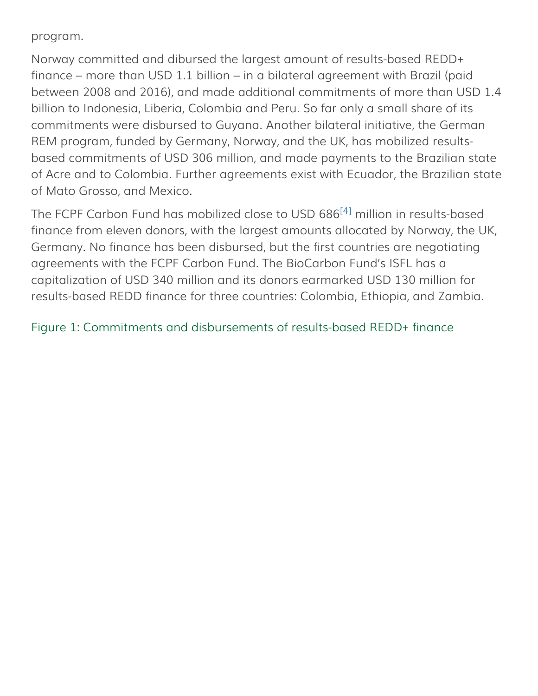#### program.

Norway committed and dibursed the largest amount of results-based REDD+ finance – more than USD 1.1 billion – in a bilateral agreement with Brazil (paid between 2008 and 2016), and made additional commitments of more than USD 1.4 billion to Indonesia, Liberia, Colombia and Peru. So far only a small share of its commitments were disbursed to Guyana. Another bilateral initiative, the German REM program, funded by Germany, Norway, and the UK, has mobilized resultsbased commitments of USD 306 million, and made payments to the Brazilian state of Acre and to Colombia. Further agreements exist with Ecuador, the Brazilian state of Mato Grosso, and Mexico.

<span id="page-2-0"></span>The FCPF Carbon Fund has mobilized close to USD 686<sup>[\[4\]](#page-5-3)</sup> million in results-based finance from eleven donors, with the largest amounts allocated by Norway, the UK, Germany. No finance has been disbursed, but the first countries are negotiating agreements with the FCPF Carbon Fund. The BioCarbon Fund's ISFL has a capitalization of USD 340 million and its donors earmarked USD 130 million for results-based REDD finance for three countries: Colombia, Ethiopia, and Zambia.

#### Figure 1: Commitments and disbursements of results-based REDD+ finance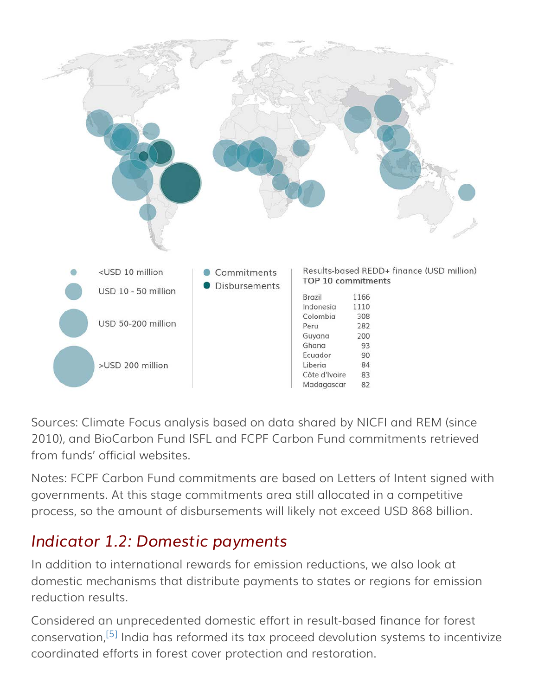

Sources: Climate Focus analysis based on data shared by NICFI and REM (since 2010), and BioCarbon Fund ISFL and FCPF Carbon Fund commitments retrieved from funds' official websites.

Notes: FCPF Carbon Fund commitments are based on Letters of Intent signed with governments. At this stage commitments area still allocated in a competitive process, so the amount of disbursements will likely not exceed USD 868 billion.

## <span id="page-3-0"></span>*Indicator 1.2: Domestic payments*

In addition to international rewards for emission reductions, we also look at domestic mechanisms that distribute payments to states or regions for emission reduction results.

<span id="page-3-1"></span>Considered an unprecedented domestic effort in result-based finance for forest conservation,<sup>[\[5\]](#page-5-4)</sup> India has reformed its tax proceed devolution systems to incentivize coordinated efforts in forest cover protection and restoration.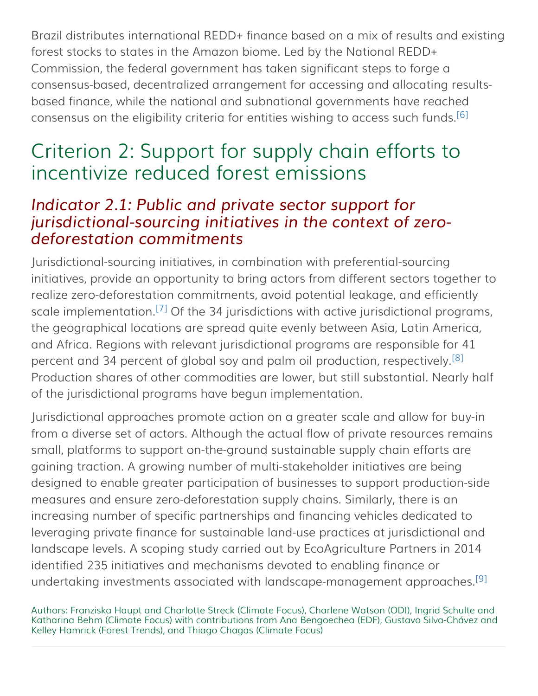Brazil distributes international REDD+ finance based on a mix of results and existing forest stocks to states in the Amazon biome. Led by the National REDD+ Commission, the federal government has taken significant steps to forge a consensus-based, decentralized arrangement for accessing and allocating resultsbased finance, while the national and subnational governments have reached consensus on the eligibility criteria for entities wishing to access such funds.<sup>[\[6\]](#page-5-5)</sup>

## <span id="page-4-1"></span>Criterion 2: Support for supply chain efforts to incentivize reduced forest emissions

### <span id="page-4-0"></span>*Indicator 2.1: Public and private sector support for jurisdictional-sourcing initiatives in the context of zerodeforestation commitments*

<span id="page-4-2"></span>Jurisdictional-sourcing initiatives, in combination with preferential-sourcing initiatives, provide an opportunity to bring actors from different sectors together to realize zero-deforestation commitments, avoid potential leakage, and efficiently scale implementation.<sup>[\[7\]](#page-5-6)</sup> Of the 34 jurisdictions with active jurisdictional programs, the geographical locations are spread quite evenly between Asia, Latin America, and Africa. Regions with relevant jurisdictional programs are responsible for 41 percent and 34 percent of global soy and palm oil production, respectively.<sup>[\[8\]](#page-5-7)</sup> Production shares of other commodities are lower, but still substantial. Nearly half of the jurisdictional programs have begun implementation.

<span id="page-4-3"></span>Jurisdictional approaches promote action on a greater scale and allow for buy-in from a diverse set of actors. Although the actual flow of private resources remains small, platforms to support on-the-ground sustainable supply chain efforts are gaining traction. A growing number of multi-stakeholder initiatives are being designed to enable greater participation of businesses to support production-side measures and ensure zero-deforestation supply chains. Similarly, there is an increasing number of specific partnerships and financing vehicles dedicated to leveraging private finance for sustainable land-use practices at jurisdictional and landscape levels. A scoping study carried out by EcoAgriculture Partners in 2014 identified 235 initiatives and mechanisms devoted to enabling finance or undertaking investments associated with landscape-management approaches.<sup>[\[9\]](#page-5-8)</sup>

<span id="page-4-4"></span>Authors: Franziska Haupt and Charlotte Streck (Climate Focus), Charlene Watson (ODI), Ingrid Schulte and Katharina Behm (Climate Focus) with contributions from Ana Bengoechea (EDF), Gustavo Silva-Chávez and Kelley Hamrick (Forest Trends), and Thiago Chagas (Climate Focus)